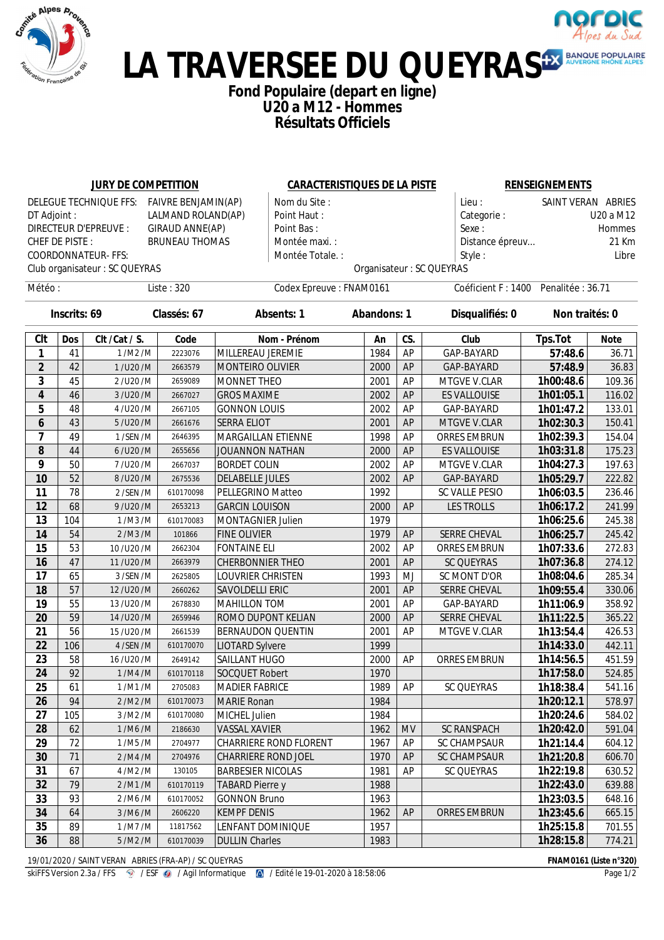



#### **Fond Populaire (depart en ligne) U20 a M12 - Hommes Résultats Officiels**

|                         |              | <b>JURY DE COMPETITION</b>                 |                       |                          |                                  | <b>CARACTERISTIQUES DE LA PISTE</b> |           |                           | <b>RENSEIGNEMENTS</b>                |             |  |
|-------------------------|--------------|--------------------------------------------|-----------------------|--------------------------|----------------------------------|-------------------------------------|-----------|---------------------------|--------------------------------------|-------------|--|
|                         |              | DELEGUE TECHNIQUE FFS: FAIVRE BENJAMIN(AP) |                       |                          | Nom du Site :                    |                                     |           | Lieu:                     | SAINT VERAN ABRIES                   |             |  |
| DT Adjoint :            |              |                                            | LALMAND ROLAND(AP)    |                          | Point Haut:                      |                                     |           |                           | Categorie:<br>U20 a M12              |             |  |
|                         |              | <b>DIRECTEUR D'EPREUVE :</b>               | GIRAUD ANNE(AP)       | Point Bas:               |                                  |                                     |           | Sexe:                     | Hommes                               |             |  |
| CHEF DE PISTE:          |              |                                            | <b>BRUNEAU THOMAS</b> |                          | Montée maxi.:<br>Distance épreuv |                                     |           |                           |                                      | 21 Km       |  |
|                         |              | <b>COORDONNATEUR-FFS:</b>                  |                       |                          | Montée Totale.:                  |                                     |           | Style:                    |                                      | Libre       |  |
|                         |              | Club organisateur : SC QUEYRAS             |                       |                          |                                  |                                     |           | Organisateur : SC QUEYRAS |                                      |             |  |
| Météo:                  |              |                                            | Liste: 320            |                          | Codex Epreuve: FNAM0161          |                                     |           |                           | Coéficient F: 1400 Penalitée : 36.71 |             |  |
|                         | Inscrits: 69 |                                            | Classés: 67           |                          | <b>Absents: 1</b>                | <b>Abandons: 1</b>                  |           | Disqualifiés: 0           | Non traités: 0                       |             |  |
| <b>CIt</b>              | <b>Dos</b>   | Clt /Cat / S.                              | Code                  |                          | Nom - Prénom                     | An                                  | CS.       | Club                      | <b>Tps.Tot</b>                       | <b>Note</b> |  |
| 1                       | 41           | 1/M2/M                                     | 2223076               | MILLEREAU JEREMIE        |                                  | 1984                                | AP        | GAP-BAYARD                | 57:48.6                              | 36.71       |  |
| $\mathbf{2}$            | 42           | 1/U20/M                                    | 2663579               | MONTEIRO OLIVIER         |                                  | 2000                                | AP        | GAP-BAYARD                | 57:48.9                              | 36.83       |  |
| 3                       | 45           | 2/U20/M                                    | 2659089               | MONNET THEO              |                                  | 2001                                | AP        | MTGVE V.CLAR              | 1h00:48.6                            | 109.36      |  |
| 4                       | 46           | 3/U20/M                                    | 2667027               | <b>GROS MAXIME</b>       |                                  | 2002                                | AP        | <b>ES VALLOUISE</b>       | 1h01:05.1                            | 116.02      |  |
| 5                       | 48           | 4/U20/M                                    | 2667105               | <b>GONNON LOUIS</b>      |                                  | 2002                                | AP        | GAP-BAYARD                | 1h01:47.2                            | 133.01      |  |
| 6                       | 43           | 5/U20/M                                    | 2661676               | <b>SERRA ELIOT</b>       |                                  | 2001                                | AP        | MTGVE V.CLAR              | 1h02:30.3                            | 150.41      |  |
| $\overline{\mathbf{z}}$ | 49           | 1/SEN/M                                    | 2646395               | MARGAILLAN ETIENNE       |                                  | 1998                                | AP        | <b>ORRES EMBRUN</b>       | 1h02:39.3                            | 154.04      |  |
| 8                       | 44           | 6/U20/M                                    | 2655656               | JOUANNON NATHAN          |                                  | 2000                                | AP        | <b>ES VALLOUISE</b>       | 1h03:31.8                            | 175.23      |  |
| 9                       | 50           | 7/U20/M                                    | 2667037               | <b>BORDET COLIN</b>      |                                  | 2002                                | AP        | MTGVE V.CLAR              | 1h04:27.3                            | 197.63      |  |
| 10                      | 52           | 8/U20/M                                    | 2675536               | <b>DELABELLE JULES</b>   |                                  | 2002                                | AP        | GAP-BAYARD                | 1h05:29.7                            | 222.82      |  |
| 11                      | 78           | 2/SEN/M                                    | 610170098             | PELLEGRINO Matteo        |                                  | 1992                                |           | SC VALLE PESIO            | 1h06:03.5                            | 236.46      |  |
| 12                      | 68           | 9/U20/M                                    | 2653213               | <b>GARCIN LOUISON</b>    |                                  | 2000                                | AP        | <b>LES TROLLS</b>         | 1h06:17.2                            | 241.99      |  |
| 13                      | 104          | 1/M3/M                                     | 610170083             | MONTAGNIER Julien        |                                  | 1979                                |           |                           | 1h06:25.6                            | 245.38      |  |
| 14                      | 54           | 2/M3/M                                     | 101866                | <b>FINE OLIVIER</b>      |                                  | 1979                                | AP        | <b>SERRE CHEVAL</b>       | 1h06:25.7                            | 245.42      |  |
| 15                      | 53           | 10/U20/M                                   | 2662304               | <b>FONTAINE ELI</b>      |                                  | 2002                                | AP        | ORRES EMBRUN              | 1h07:33.6                            | 272.83      |  |
| 16                      | 47           | 11/U20/M                                   | 2663979               | <b>CHERBONNIER THEO</b>  |                                  | 2001                                | AP        | <b>SC QUEYRAS</b>         | 1h07:36.8                            | 274.12      |  |
| 17                      | 65           | 3 /SEN /M                                  | 2625805               | LOUVRIER CHRISTEN        |                                  | 1993                                | MJ        | SC MONT D'OR              | 1h08:04.6                            | 285.34      |  |
| 18                      | 57           | 12/U20/M                                   | 2660262               | SAVOLDELLI ERIC          |                                  | 2001                                | AP        | <b>SERRE CHEVAL</b>       | 1h09:55.4                            | 330.06      |  |
| 19                      | 55           | 13/U20/M                                   | 2678830               | MAHILLON TOM             |                                  | 2001                                | AP        | GAP-BAYARD                | 1h11:06.9                            | 358.92      |  |
| 20                      | 59           | 14/U20/M                                   | 2659946               | ROMO DUPONT KELIAN       |                                  | 2000                                | AP        | SERRE CHEVAL              | 1h11:22.5                            | 365.22      |  |
| 21                      | 56           | 15/U20/M                                   | 2661539               | <b>BERNAUDON QUENTIN</b> |                                  | 2001                                | AP        | MTGVE V.CLAR              | 1h13:54.4                            | 426.53      |  |
| 22                      | 106          | 4 /SEN /M                                  | 610170070             | <b>LIOTARD Sylvere</b>   |                                  | 1999                                |           |                           | 1h14:33.0                            | 442.11      |  |
| 23                      | 58           | 16/U20/M                                   | 2649142               | SAILLANT HUGO            |                                  | 2000                                | AP        | ORRES EMBRUN              | 1h14:56.5                            | 451.59      |  |
| 24                      | 92           | 1/M4/M                                     | 610170118             | SOCQUET Robert           |                                  | 1970                                |           |                           | 1h17:58.0                            | 524.85      |  |
| 25                      | 61           | 1/M1/M                                     | 2705083               | <b>MADIER FABRICE</b>    |                                  | 1989                                | AP        | SC QUEYRAS                | 1h18:38.4                            | 541.16      |  |
| 26                      | 94           | 2/M2/M                                     | 610170073             | <b>MARIE Ronan</b>       |                                  | 1984                                |           |                           | 1h20:12.1                            | 578.97      |  |
| 27                      | 105          | 3/M2/M                                     | 610170080             | MICHEL Julien            |                                  | 1984                                |           |                           | 1h20:24.6                            | 584.02      |  |
| 28                      | 62           | 1/M6/M                                     | 2186630               | <b>VASSAL XAVIER</b>     |                                  | 1962                                | <b>MV</b> | SC RANSPACH               | 1h20:42.0                            | 591.04      |  |
| 29                      | 72           | 1/M5/M                                     | 2704977               |                          | CHARRIERE ROND FLORENT           | 1967                                | AP        | SC CHAMPSAUR              | 1h21:14.4                            | 604.12      |  |
| 30                      | 71           | 2/M4/M                                     | 2704976               | CHARRIERE ROND JOEL      |                                  | 1970                                | AP        | SC CHAMPSAUR              | 1h21:20.8                            | 606.70      |  |
| 31                      | 67           | 4/M2/M                                     | 130105                | <b>BARBESIER NICOLAS</b> |                                  | 1981                                | AP        | SC QUEYRAS                | 1h22:19.8                            | 630.52      |  |
| 32                      | 79           | 2/M1/M                                     | 610170119             | <b>TABARD Pierre y</b>   |                                  | 1988                                |           |                           | 1h22:43.0                            | 639.88      |  |
| 33                      | 93           | 2/M6/M                                     | 610170052             | <b>GONNON Bruno</b>      |                                  | 1963                                |           |                           | 1h23:03.5                            | 648.16      |  |
| 34                      | 64           | 3/M6/M                                     | 2606220               | <b>KEMPF DENIS</b>       |                                  | 1962                                | <b>AP</b> | ORRES EMBRUN              | 1h23:45.6                            | 665.15      |  |
| 35                      | 89           | $1/M7/M$                                   | 11817562              | LENFANT DOMINIQUE        |                                  | 1957                                |           |                           | 1h25:15.8                            | 701.55      |  |
| 36                      | 88           | 5/M2/M                                     | 610170039             | <b>DULLIN Charles</b>    |                                  | 1983                                |           |                           | 1h28:15.8                            | 774.21      |  |

19/01/2020 / SAINT VERAN ABRIES (FRA-AP) / SC QUEYRAS **FNAM0161 (Liste n°320)**

skiFFS Version 2.3a / FFS  $\circledast$  / ESF  $\circledast$  / Agil Informatique  $\circledast$  / Edité le 19-01-2020 à 18:58:06 Page 1/2